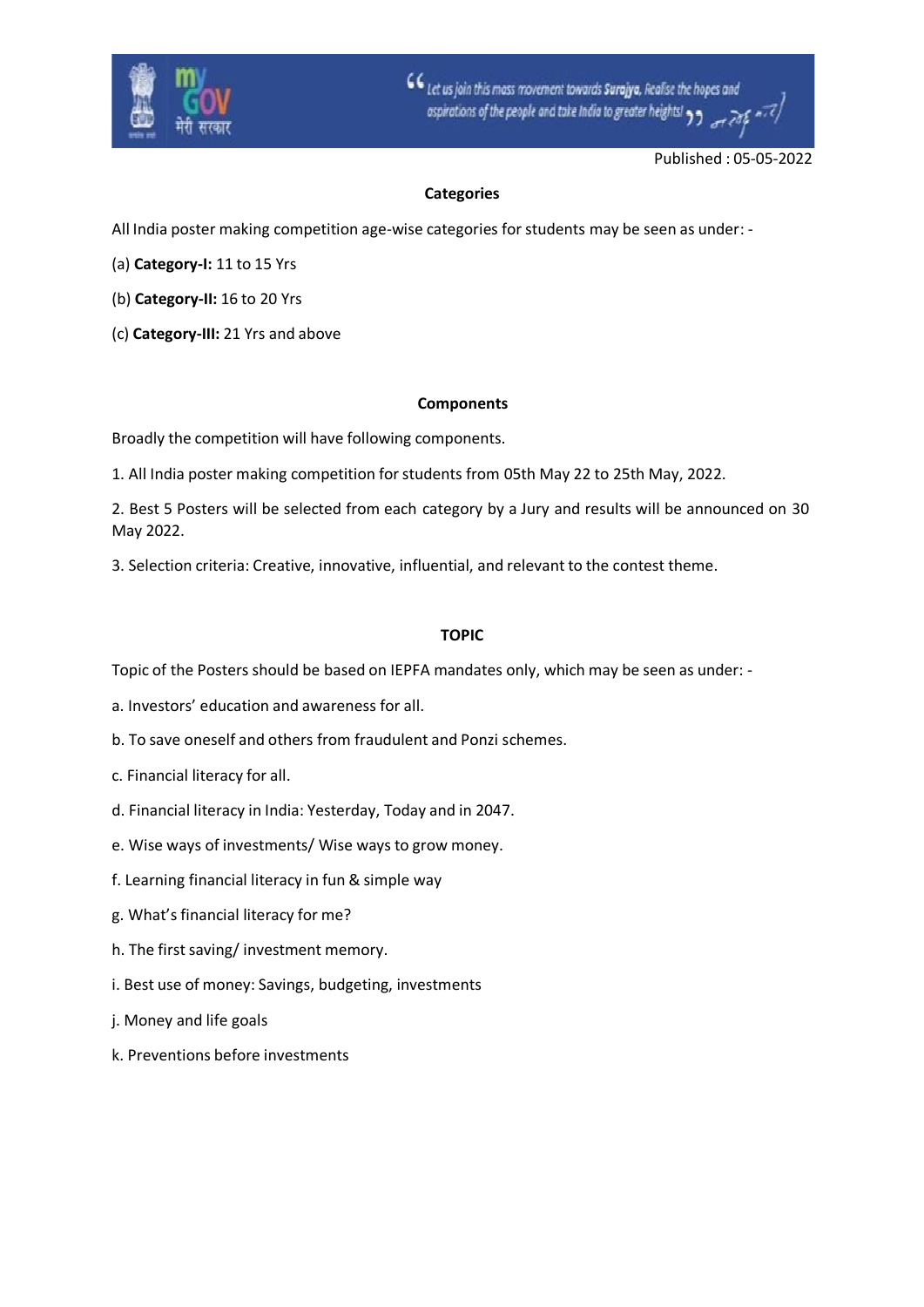

CC Let us join this mass movement towards Surajya, Realise the hopes and ospirations of the people and take India to greater heights!

Published : 05-05-2022

## **Categories**

All India poster making competition age-wise categories for students may be seen as under: -

- (a) **Category-I:** 11 to 15 Yrs
- (b) **Category-II:** 16 to 20 Yrs
- (c) **Category-III:** 21 Yrs and above

## **Components**

Broadly the competition will have following components.

1. All India poster making competition forstudents from 05th May 22 to 25th May, 2022.

2. Best 5 Posters will be selected from each category by a Jury and results will be announced on 30 May 2022.

3. Selection criteria: Creative, innovative, influential, and relevant to the contest theme.

## **TOPIC**

Topic of the Posters should be based on IEPFA mandates only, which may be seen as under: -

- a. Investors' education and awareness for all.
- b. To save oneself and others from fraudulent and Ponzi schemes.
- c. Financial literacy for all.
- d. Financial literacy in India: Yesterday, Today and in 2047.
- e. Wise ways of investments/ Wise ways to grow money.
- f. Learning financial literacy in fun & simple way
- g. What's financial literacy for me?
- h. The first saving/ investment memory.
- i. Best use of money: Savings, budgeting, investments
- j. Money and life goals
- k. Preventions before investments